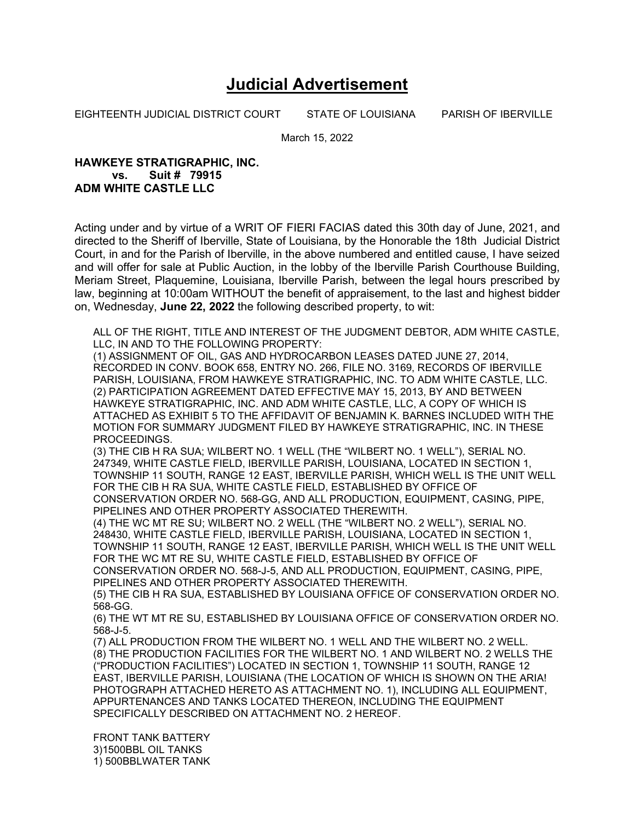## **Judicial Advertisement**

EIGHTEENTH JUDICIAL DISTRICT COURT STATE OF LOUISIANA PARISH OF IBERVILLE

March 15, 2022

## **HAWKEYE STRATIGRAPHIC, INC. vs. Suit # 79915 ADM WHITE CASTLE LLC**

Acting under and by virtue of a WRIT OF FIERI FACIAS dated this 30th day of June, 2021, and directed to the Sheriff of Iberville, State of Louisiana, by the Honorable the 18th Judicial District Court, in and for the Parish of Iberville, in the above numbered and entitled cause, I have seized and will offer for sale at Public Auction, in the lobby of the Iberville Parish Courthouse Building, Meriam Street, Plaquemine, Louisiana, Iberville Parish, between the legal hours prescribed by law, beginning at 10:00am WITHOUT the benefit of appraisement, to the last and highest bidder on, Wednesday, **June 22, 2022** the following described property, to wit:

ALL OF THE RIGHT, TITLE AND INTEREST OF THE JUDGMENT DEBTOR, ADM WHITE CASTLE, LLC, IN AND TO THE FOLLOWING PROPERTY:

(1) ASSIGNMENT OF OIL, GAS AND HYDROCARBON LEASES DATED JUNE 27, 2014, RECORDED IN CONV. BOOK 658, ENTRY NO. 266, FILE NO. 3169, RECORDS OF IBERVILLE PARISH, LOUISIANA, FROM HAWKEYE STRATIGRAPHIC, INC. TO ADM WHITE CASTLE, LLC. (2) PARTICIPATION AGREEMENT DATED EFFECTIVE MAY 15, 2013, BY AND BETWEEN HAWKEYE STRATIGRAPHIC, INC. AND ADM WHITE CASTLE, LLC, A COPY OF WHICH IS ATTACHED AS EXHIBIT 5 TO THE AFFIDAVIT OF BENJAMIN K. BARNES INCLUDED WITH THE MOTION FOR SUMMARY JUDGMENT FILED BY HAWKEYE STRATIGRAPHIC, INC. IN THESE PROCEEDINGS.

(3) THE CIB H RA SUA; WILBERT NO. 1 WELL (THE "WILBERT NO. 1 WELL"), SERIAL NO. 247349, WHITE CASTLE FIELD, IBERVILLE PARISH, LOUISIANA, LOCATED IN SECTION 1, TOWNSHIP 11 SOUTH, RANGE 12 EAST, IBERVILLE PARISH, WHICH WELL IS THE UNIT WELL FOR THE CIB H RA SUA, WHITE CASTLE FIELD, ESTABLISHED BY OFFICE OF CONSERVATION ORDER NO. 568-GG, AND ALL PRODUCTION, EQUIPMENT, CASING, PIPE, PIPELINES AND OTHER PROPERTY ASSOCIATED THEREWITH.

(4) THE WC MT RE SU; WILBERT NO. 2 WELL (THE "WILBERT NO. 2 WELL"), SERIAL NO. 248430, WHITE CASTLE FIELD, IBERVILLE PARISH, LOUISIANA, LOCATED IN SECTION 1, TOWNSHIP 11 SOUTH, RANGE 12 EAST, IBERVILLE PARISH, WHICH WELL IS THE UNIT WELL FOR THE WC MT RE SU, WHITE CASTLE FIELD, ESTABLISHED BY OFFICE OF

CONSERVATION ORDER NO. 568-J-5, AND ALL PRODUCTION, EQUIPMENT, CASING, PIPE, PIPELINES AND OTHER PROPERTY ASSOCIATED THEREWITH.

(5) THE CIB H RA SUA, ESTABLISHED BY LOUISIANA OFFICE OF CONSERVATION ORDER NO. 568-GG.

(6) THE WT MT RE SU, ESTABLISHED BY LOUISIANA OFFICE OF CONSERVATION ORDER NO. 568-J-5.

(7) ALL PRODUCTION FROM THE WILBERT NO. 1 WELL AND THE WILBERT NO. 2 WELL. (8) THE PRODUCTION FACILITIES FOR THE WILBERT NO. 1 AND WILBERT NO. 2 WELLS THE ("PRODUCTION FACILITIES") LOCATED IN SECTION 1, TOWNSHIP 11 SOUTH, RANGE 12 EAST, IBERVILLE PARISH, LOUISIANA (THE LOCATION OF WHICH IS SHOWN ON THE ARIA! PHOTOGRAPH ATTACHED HERETO AS ATTACHMENT NO. 1), INCLUDING ALL EQUIPMENT, APPURTENANCES AND TANKS LOCATED THEREON, INCLUDING THE EQUIPMENT SPECIFICALLY DESCRIBED ON ATTACHMENT NO. 2 HEREOF.

FRONT TANK BATTERY 3)1500BBL OIL TANKS 1) 500BBLWATER TANK